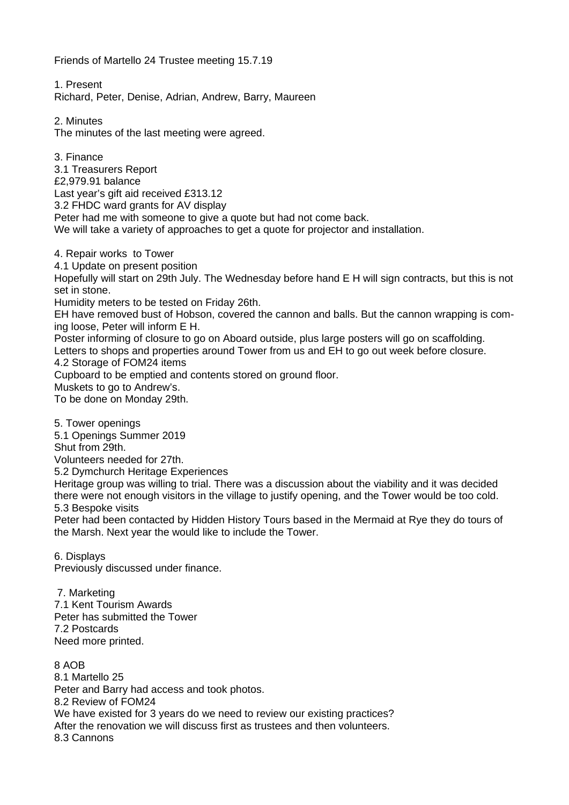Friends of Martello 24 Trustee meeting 15.7.19

1. Present Richard, Peter, Denise, Adrian, Andrew, Barry, Maureen

2. Minutes The minutes of the last meeting were agreed.

3. Finance 3.1 Treasurers Report £2,979.91 balance Last year's gift aid received £313.12 3.2 FHDC ward grants for AV display Peter had me with someone to give a quote but had not come back. We will take a variety of approaches to get a quote for projector and installation.

4. Repair works to Tower

4.1 Update on present position

Hopefully will start on 29th July. The Wednesday before hand E H will sign contracts, but this is not set in stone.

Humidity meters to be tested on Friday 26th.

EH have removed bust of Hobson, covered the cannon and balls. But the cannon wrapping is coming loose, Peter will inform E H.

Poster informing of closure to go on Aboard outside, plus large posters will go on scaffolding. Letters to shops and properties around Tower from us and EH to go out week before closure.

4.2 Storage of FOM24 items

Cupboard to be emptied and contents stored on ground floor.

Muskets to go to Andrew's.

To be done on Monday 29th.

5. Tower openings

5.1 Openings Summer 2019

Shut from 29th.

Volunteers needed for 27th.

5.2 Dymchurch Heritage Experiences

Heritage group was willing to trial. There was a discussion about the viability and it was decided there were not enough visitors in the village to justify opening, and the Tower would be too cold. 5.3 Bespoke visits

Peter had been contacted by Hidden History Tours based in the Mermaid at Rye they do tours of the Marsh. Next year the would like to include the Tower.

6. Displays

Previously discussed under finance.

7. Marketing 7.1 Kent Tourism Awards Peter has submitted the Tower 7.2 Postcards Need more printed.

8 AOB 8.1 Martello 25 Peter and Barry had access and took photos. 8.2 Review of FOM24 We have existed for 3 years do we need to review our existing practices? After the renovation we will discuss first as trustees and then volunteers. 8.3 Cannons